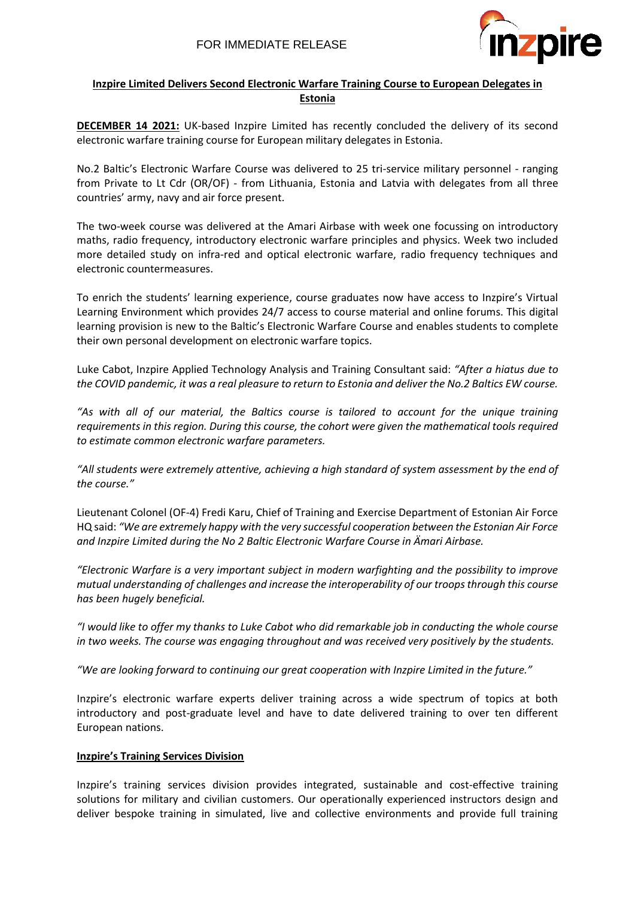

# **Inzpire Limited Delivers Second Electronic Warfare Training Course to European Delegates in Estonia**

**DECEMBER 14 2021:** UK-based Inzpire Limited has recently concluded the delivery of its second electronic warfare training course for European military delegates in Estonia.

No.2 Baltic's Electronic Warfare Course was delivered to 25 tri-service military personnel - ranging from Private to Lt Cdr (OR/OF) - from Lithuania, Estonia and Latvia with delegates from all three countries' army, navy and air force present.

The two-week course was delivered at the Amari Airbase with week one focussing on introductory maths, radio frequency, introductory electronic warfare principles and physics. Week two included more detailed study on infra-red and optical electronic warfare, radio frequency techniques and electronic countermeasures.

To enrich the students' learning experience, course graduates now have access to Inzpire's Virtual Learning Environment which provides 24/7 access to course material and online forums. This digital learning provision is new to the Baltic's Electronic Warfare Course and enables students to complete their own personal development on electronic warfare topics.

Luke Cabot, Inzpire Applied Technology Analysis and Training Consultant said: *"After a hiatus due to the COVID pandemic, it was a real pleasure to return to Estonia and deliver the No.2 Baltics EW course.*

*"As with all of our material, the Baltics course is tailored to account for the unique training requirements in this region. During this course, the cohort were given the mathematical tools required to estimate common electronic warfare parameters.* 

*"All students were extremely attentive, achieving a high standard of system assessment by the end of the course."*

Lieutenant Colonel (OF-4) Fredi Karu, Chief of Training and Exercise Department of Estonian Air Force HQ said: *"We are extremely happy with the very successful cooperation between the Estonian Air Force and Inzpire Limited during the No 2 Baltic Electronic Warfare Course in Ämari Airbase.* 

*"Electronic Warfare is a very important subject in modern warfighting and the possibility to improve mutual understanding of challenges and increase the interoperability of our troops through this course has been hugely beneficial.*

*"I would like to offer my thanks to Luke Cabot who did remarkable job in conducting the whole course in two weeks. The course was engaging throughout and was received very positively by the students.*

*"We are looking forward to continuing our great cooperation with Inzpire Limited in the future."*

Inzpire's electronic warfare experts deliver training across a wide spectrum of topics at both introductory and post-graduate level and have to date delivered training to over ten different European nations.

# **Inzpire's Training Services Division**

Inzpire's training services division provides integrated, sustainable and cost-effective training solutions for military and civilian customers. Our operationally experienced instructors design and deliver bespoke training in simulated, live and collective environments and provide full training